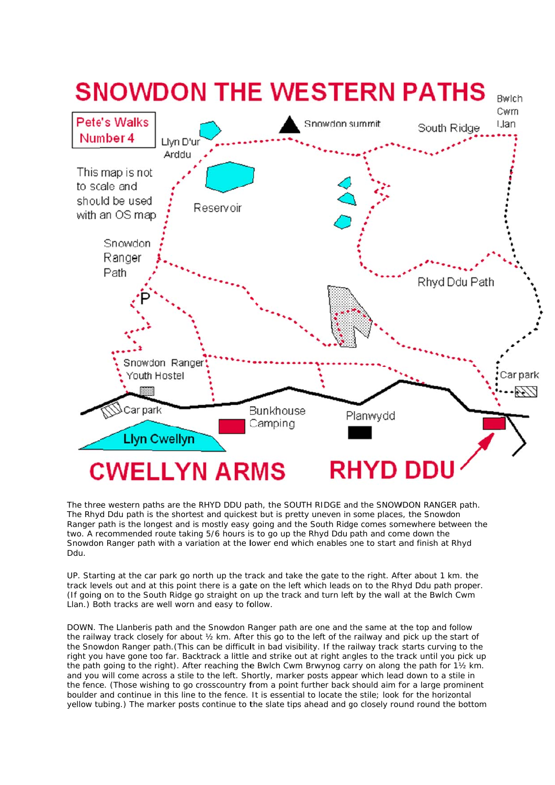

The three western paths are the RHYD DDU path, the SOUTH RIDGE and the SNOWDON RANGER path. The Rhyd Ddu path is the shortest and quickest but is pretty uneven in some places, the Snowdon Ranger path is the longest and is mostly easy going and the South Ridge comes somewhere between the two. A recommended route taking 5/6 hours is to go up the Rhyd Ddu path and come down the Snowdon Ranger path with a variation at the lower end which enables one to start and finish at Rhyd Ddu.

UP. Starting at the car park go north up the track and take the gate to the right. After about 1 km. the track levels out and at this point there is a gate on the left which leads on to the Rhyd Ddu path proper. (If going on to the South Ridge go straight on up the track and turn left by the wall at the Bwlch Cwm Llan.) Both tracks are well worn and easy to follow.

DOWN. The Llanberis path and the Snowdon Ranger path are one and the same at the top and follow the railway track closely for about  $\frac{1}{2}$  km. After this go to the left of the railway and pick up the start of the Snowdon Ranger path. (This can be difficult in bad visibility. If the railway track starts curving to the right you have gone too far. Backtrack a little and strike out at right angles to the track until you pick up the path going to the right). After reaching the Bwlch Cwm Brwynog carry on along the path for 1½ km. and you will come across a stile to the left. Shortly, marker posts appear which lead down to a stile in the fence. (Those wishing to go crosscountry from a point further back should aim for a large prominent boulder and continue in this line to the fence. It is essential to locate the stile; look for the horizontal yellow tubing.) The marker posts continue to the slate tips ahead and go closely round round the bottom